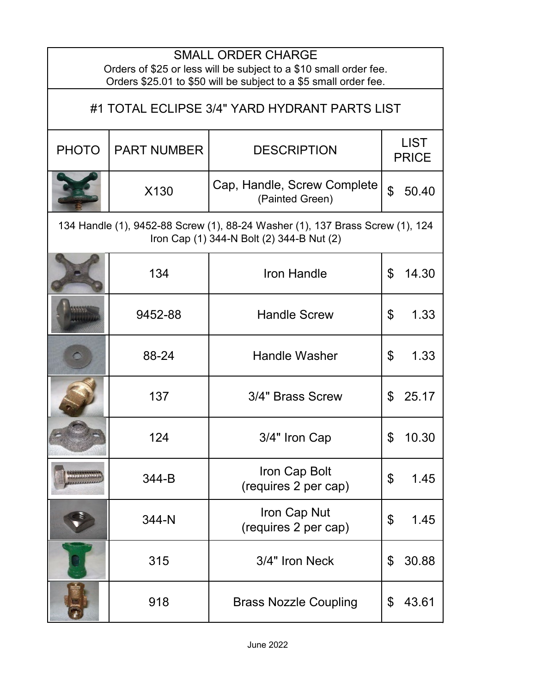| <b>SMALL ORDER CHARGE</b><br>Orders of \$25 or less will be subject to a \$10 small order fee.<br>Orders \$25.01 to \$50 will be subject to a \$5 small order fee. |                    |                                                |                             |  |
|--------------------------------------------------------------------------------------------------------------------------------------------------------------------|--------------------|------------------------------------------------|-----------------------------|--|
| #1 TOTAL ECLIPSE 3/4" YARD HYDRANT PARTS LIST                                                                                                                      |                    |                                                |                             |  |
| <b>PHOTO</b>                                                                                                                                                       | <b>PART NUMBER</b> | <b>DESCRIPTION</b>                             | <b>LIST</b><br><b>PRICE</b> |  |
|                                                                                                                                                                    | X130               | Cap, Handle, Screw Complete<br>(Painted Green) | $\mathfrak{S}$<br>50.40     |  |
| 134 Handle (1), 9452-88 Screw (1), 88-24 Washer (1), 137 Brass Screw (1), 124<br>Iron Cap (1) 344-N Bolt (2) 344-B Nut (2)                                         |                    |                                                |                             |  |
|                                                                                                                                                                    | 134                | Iron Handle                                    | \$<br>14.30                 |  |
|                                                                                                                                                                    | 9452-88            | <b>Handle Screw</b>                            | \$<br>1.33                  |  |
|                                                                                                                                                                    | 88-24              | <b>Handle Washer</b>                           | \$<br>1.33                  |  |
|                                                                                                                                                                    | 137                | 3/4" Brass Screw                               | 25.17<br>\$                 |  |
|                                                                                                                                                                    | 124                | 3/4" Iron Cap                                  | \$<br>10.30                 |  |
|                                                                                                                                                                    | 344-B              | Iron Cap Bolt<br>(requires 2 per cap)          | \$<br>1.45                  |  |
|                                                                                                                                                                    | 344-N              | Iron Cap Nut<br>(requires 2 per cap)           | \$<br>1.45                  |  |
|                                                                                                                                                                    | 315                | 3/4" Iron Neck                                 | \$<br>30.88                 |  |
|                                                                                                                                                                    | 918                | <b>Brass Nozzle Coupling</b>                   | 43.61<br>\$                 |  |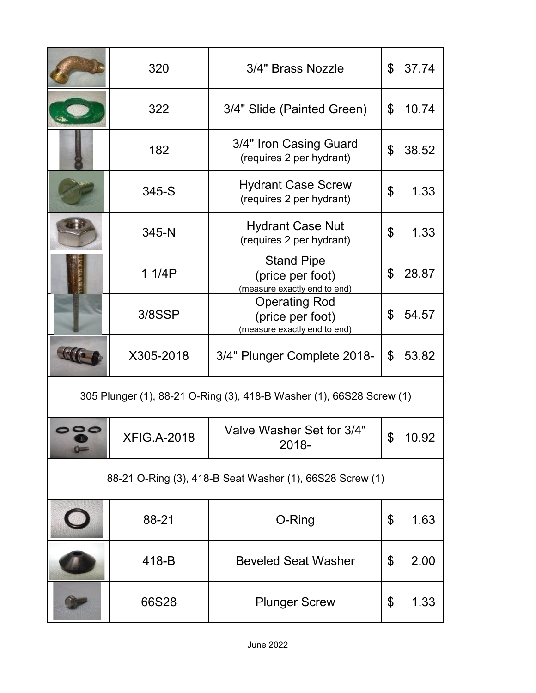|                                                                      | 320                | 3/4" Brass Nozzle                                                        | \$ | 37.74 |
|----------------------------------------------------------------------|--------------------|--------------------------------------------------------------------------|----|-------|
|                                                                      | 322                | 3/4" Slide (Painted Green)                                               | \$ | 10.74 |
|                                                                      | 182                | 3/4" Iron Casing Guard<br>(requires 2 per hydrant)                       | \$ | 38.52 |
|                                                                      | 345-S              | <b>Hydrant Case Screw</b><br>(requires 2 per hydrant)                    | \$ | 1.33  |
|                                                                      | 345-N              | <b>Hydrant Case Nut</b><br>(requires 2 per hydrant)                      | \$ | 1.33  |
|                                                                      | 1 1/4P             | <b>Stand Pipe</b><br>(price per foot)<br>(measure exactly end to end)    | \$ | 28.87 |
|                                                                      | 3/8SSP             | <b>Operating Rod</b><br>(price per foot)<br>(measure exactly end to end) | \$ | 54.57 |
|                                                                      | X305-2018          | 3/4" Plunger Complete 2018-                                              | \$ | 53.82 |
| 305 Plunger (1), 88-21 O-Ring (3), 418-B Washer (1), 66S28 Screw (1) |                    |                                                                          |    |       |
| $0 -$                                                                | <b>XFIG.A-2018</b> | Valve Washer Set for 3/4"<br>2018-                                       |    | 10.92 |
| 88-21 O-Ring (3), 418-B Seat Washer (1), 66S28 Screw (1)             |                    |                                                                          |    |       |
|                                                                      | 88-21              | O-Ring                                                                   | \$ | 1.63  |
|                                                                      | 418-B              | <b>Beveled Seat Washer</b>                                               | \$ | 2.00  |
|                                                                      | 66S28              | <b>Plunger Screw</b>                                                     | \$ | 1.33  |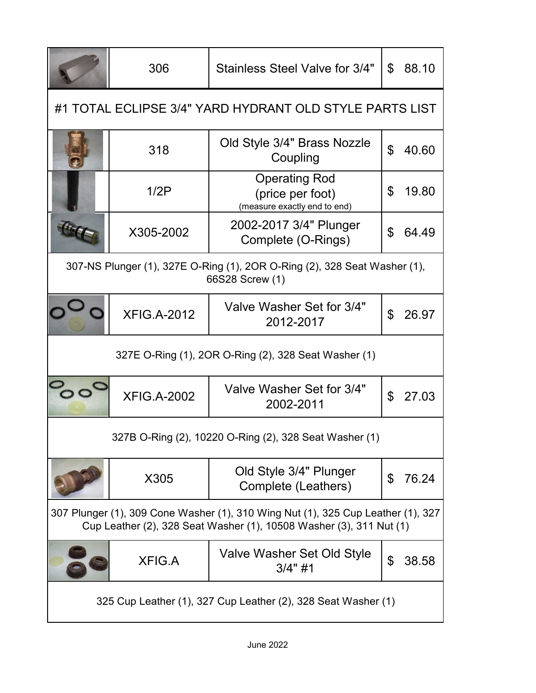|                                                                                                                                                         | 306                | Stainless Steel Valve for 3/4"                                                               | \$ | 88.10 |
|---------------------------------------------------------------------------------------------------------------------------------------------------------|--------------------|----------------------------------------------------------------------------------------------|----|-------|
| #1 TOTAL ECLIPSE 3/4" YARD HYDRANT OLD STYLE PARTS LIST                                                                                                 |                    |                                                                                              |    |       |
|                                                                                                                                                         | 318                | Old Style 3/4" Brass Nozzle<br>Coupling                                                      | \$ | 40.60 |
|                                                                                                                                                         | 1/2P               | <b>Operating Rod</b><br>(price per foot)<br>(measure exactly end to end)                     | \$ | 19.80 |
|                                                                                                                                                         | X305-2002          | 2002-2017 3/4" Plunger<br>Complete (O-Rings)                                                 | \$ | 64.49 |
|                                                                                                                                                         |                    | 307-NS Plunger (1), 327E O-Ring (1), 2OR O-Ring (2), 328 Seat Washer (1),<br>66S28 Screw (1) |    |       |
|                                                                                                                                                         | <b>XFIG.A-2012</b> | Valve Washer Set for 3/4"<br>2012-2017                                                       | \$ | 26.97 |
| 327E O-Ring (1), 2OR O-Ring (2), 328 Seat Washer (1)                                                                                                    |                    |                                                                                              |    |       |
|                                                                                                                                                         | <b>XFIG.A-2002</b> | Valve Washer Set for 3/4"<br>2002-2011                                                       | \$ | 27.03 |
| 327B O-Ring (2), 10220 O-Ring (2), 328 Seat Washer (1)                                                                                                  |                    |                                                                                              |    |       |
|                                                                                                                                                         | X305               | Old Style 3/4" Plunger<br>Complete (Leathers)                                                | \$ | 76.24 |
| 307 Plunger (1), 309 Cone Washer (1), 310 Wing Nut (1), 325 Cup Leather (1), 327<br>Cup Leather (2), 328 Seat Washer (1), 10508 Washer (3), 311 Nut (1) |                    |                                                                                              |    |       |
|                                                                                                                                                         | <b>XFIG.A</b>      | Valve Washer Set Old Style<br>$3/4"$ #1                                                      | \$ | 38.58 |
| 325 Cup Leather (1), 327 Cup Leather (2), 328 Seat Washer (1)                                                                                           |                    |                                                                                              |    |       |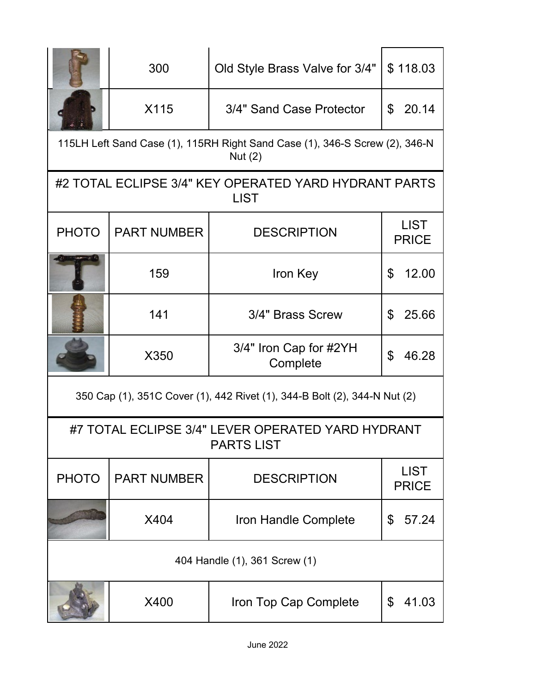|                                                                           | 300                | Old Style Brass Valve for 3/4"                                                           | \$118.03                    |  |
|---------------------------------------------------------------------------|--------------------|------------------------------------------------------------------------------------------|-----------------------------|--|
|                                                                           | X115               | 3/4" Sand Case Protector                                                                 | \$20.14                     |  |
|                                                                           |                    | 115LH Left Sand Case (1), 115RH Right Sand Case (1), 346-S Screw (2), 346-N<br>Nut $(2)$ |                             |  |
|                                                                           |                    | #2 TOTAL ECLIPSE 3/4" KEY OPERATED YARD HYDRANT PARTS<br><b>LIST</b>                     |                             |  |
| <b>PHOTO</b>                                                              | <b>PART NUMBER</b> | <b>DESCRIPTION</b>                                                                       | <b>LIST</b><br><b>PRICE</b> |  |
|                                                                           | 159                | Iron Key                                                                                 | \$<br>12.00                 |  |
|                                                                           | 141                | 3/4" Brass Screw                                                                         | \$<br>25.66                 |  |
|                                                                           | X350               | 3/4" Iron Cap for #2YH<br>Complete                                                       | 46.28<br>\$                 |  |
| 350 Cap (1), 351C Cover (1), 442 Rivet (1), 344-B Bolt (2), 344-N Nut (2) |                    |                                                                                          |                             |  |
| #7 TOTAL ECLIPSE 3/4" LEVER OPERATED YARD HYDRANT<br><b>PARTS LIST</b>    |                    |                                                                                          |                             |  |
| <b>PHOTO</b>                                                              | <b>PART NUMBER</b> | <b>DESCRIPTION</b>                                                                       | <b>LIST</b><br><b>PRICE</b> |  |
|                                                                           | X404               | Iron Handle Complete                                                                     | 57.24<br>\$                 |  |
| 404 Handle (1), 361 Screw (1)                                             |                    |                                                                                          |                             |  |
|                                                                           | X400               | Iron Top Cap Complete                                                                    | 41.03<br>\$                 |  |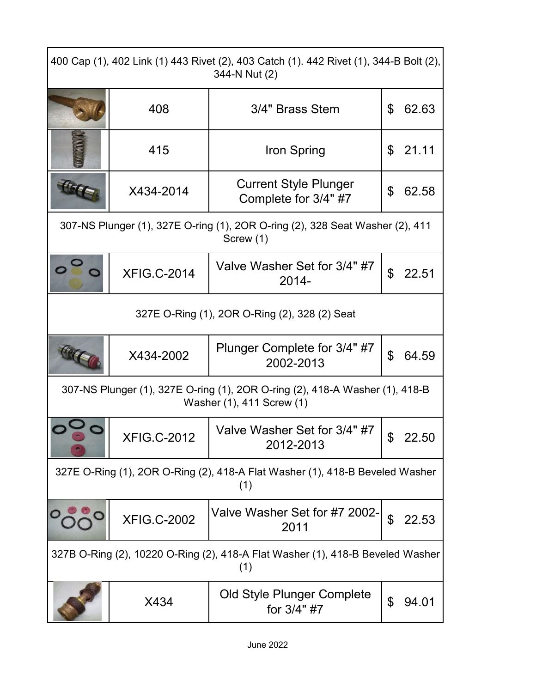| 400 Cap (1), 402 Link (1) 443 Rivet (2), 403 Catch (1). 442 Rivet (1), 344-B Bolt (2),<br>344-N Nut (2)   |                    |                                                                                            |                |       |
|-----------------------------------------------------------------------------------------------------------|--------------------|--------------------------------------------------------------------------------------------|----------------|-------|
|                                                                                                           | 408                | 3/4" Brass Stem                                                                            | \$             | 62.63 |
|                                                                                                           | 415                | Iron Spring                                                                                | \$             | 21.11 |
| Hick                                                                                                      | X434-2014          | <b>Current Style Plunger</b><br>Complete for 3/4" #7                                       | \$             | 62.58 |
|                                                                                                           |                    | 307-NS Plunger (1), 327E O-ring (1), 2OR O-ring (2), 328 Seat Washer (2), 411<br>Screw (1) |                |       |
|                                                                                                           | <b>XFIG.C-2014</b> | Valve Washer Set for 3/4" #7<br>2014-                                                      | $\mathfrak{L}$ | 22.51 |
| 327E O-Ring (1), 2OR O-Ring (2), 328 (2) Seat                                                             |                    |                                                                                            |                |       |
|                                                                                                           | X434-2002          | Plunger Complete for 3/4" #7<br>2002-2013                                                  | \$             | 64.59 |
| 307-NS Plunger (1), 327E O-ring (1), 2OR O-ring (2), 418-A Washer (1), 418-B<br>Washer (1), 411 Screw (1) |                    |                                                                                            |                |       |
|                                                                                                           | <b>XFIG.C-2012</b> | Valve Washer Set for 3/4" #7<br>2012-2013                                                  | \$             | 22.50 |
| 327E O-Ring (1), 2OR O-Ring (2), 418-A Flat Washer (1), 418-B Beveled Washer<br>(1)                       |                    |                                                                                            |                |       |
|                                                                                                           | <b>XFIG.C-2002</b> | Valve Washer Set for #7 2002-<br>2011                                                      | \$             | 22.53 |
| 327B O-Ring (2), 10220 O-Ring (2), 418-A Flat Washer (1), 418-B Beveled Washer<br>(1)                     |                    |                                                                                            |                |       |
|                                                                                                           | X434               | Old Style Plunger Complete<br>for 3/4" #7                                                  | \$             | 94.01 |